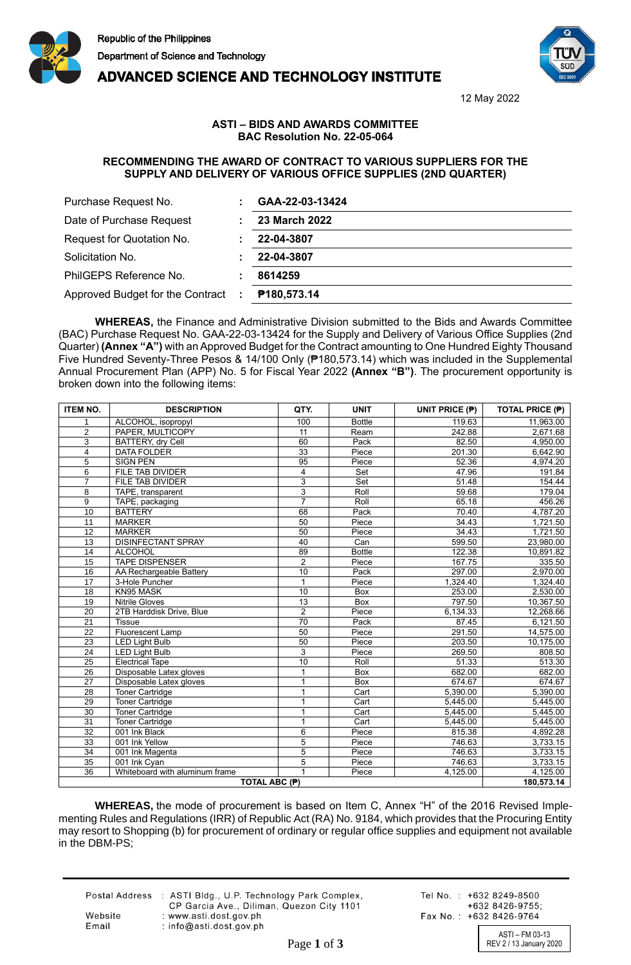



**ADVANCED SCIENCE AND TECHNOLOGY INSTITUTE** 

12 May 2022

## **ASTI – BIDS AND AWARDS COMMITTEE BAC Resolution No. 22-05-064**

## **RECOMMENDING THE AWARD OF CONTRACT TO VARIOUS SUPPLIERS FOR THE SUPPLY AND DELIVERY OF VARIOUS OFFICE SUPPLIES (2ND QUARTER)**

| Purchase Request No.             |   | GAA-22-03-13424 |  |  |
|----------------------------------|---|-----------------|--|--|
| Date of Purchase Request         |   | 23 March 2022   |  |  |
| Request for Quotation No.        |   | 22-04-3807      |  |  |
| Solicitation No.                 |   | 22-04-3807      |  |  |
| PhilGEPS Reference No.           |   | 8614259         |  |  |
| Approved Budget for the Contract | ÷ | P180,573.14     |  |  |

**WHEREAS,** the Finance and Administrative Division submitted to the Bids and Awards Committee (BAC) Purchase Request No. GAA-22-03-13424 for the Supply and Delivery of Various Office Supplies (2nd Quarter) **(Annex "A")** with an Approved Budget for the Contract amounting to One Hundred Eighty Thousand Five Hundred Seventy-Three Pesos & 14/100 Only (₱180,573.14) which was included in the Supplemental Annual Procurement Plan (APP) No. 5 for Fiscal Year 2022 **(Annex "B")**. The procurement opportunity is broken down into the following items:

| <b>ITEM NO.</b> | <b>DESCRIPTION</b>                              | QTY.           | <b>UNIT</b>       | UNIT PRICE (P) | <b>TOTAL PRICE (P)</b> |
|-----------------|-------------------------------------------------|----------------|-------------------|----------------|------------------------|
| 1               | ALCOHOL, isopropyl                              | 100            | <b>Bottle</b>     | 119.63         | 11,963.00              |
| $\overline{c}$  | PAPER, MULTICOPY                                | 11             | Ream              | 242.88         | 2,671.68               |
| 3               | BATTERY, dry Cell                               | 60             | Pack              | 82.50          | 4,950.00               |
| $\overline{4}$  | <b>DATA FOLDER</b>                              | 33             | Piece             | 201.30         | 6,642.90               |
| $\overline{5}$  | <b>SIGN PEN</b>                                 | 95             | Piece             | 52.36          | 4,974.20               |
| 6               | FILE TAB DIVIDER                                | 4              | Set               | 47.96          | 191.84                 |
| $\overline{7}$  | FILE TAB DIVIDER                                | 3              | Set               | 51.48          | 154.44                 |
| 8               | TAPE, transparent                               | 3              | Roll              | 59.68          | 179.04                 |
| 9               | TAPE, packaging                                 | $\overline{7}$ | Roll              | 65.18          | 456.26                 |
| 10              | <b>BATTERY</b>                                  | 68             | Pack              | 70.40          | 4,787.20               |
| 11              | <b>MARKER</b>                                   | 50             | Piece             | 34.43          | 1,721.50               |
| 12              | <b>MARKER</b>                                   | 50             | Piece             | 34.43          | 1,721.50               |
| 13              | <b>DISINFECTANT SPRAY</b>                       | 40             | Can               | 599.50         | 23,980.00              |
| 14              | <b>ALCOHOL</b>                                  | 89             | <b>Bottle</b>     | 122.38         | 10,891.82              |
| 15              | <b>TAPE DISPENSER</b>                           | $\overline{2}$ | Piece             | 167.75         | 335.50                 |
| 16              | AA Rechargeable Battery                         | 10             | Pack              | 297.00         | 2,970.00               |
| $\overline{17}$ | 3-Hole Puncher                                  | $\overline{1}$ | Piece             | 1,324.40       | 1,324.40               |
| 18              | KN95 MASK                                       | 10             | <b>Box</b>        | 253.00         | 2,530.00               |
| 19              | <b>Nitrile Gloves</b>                           | 13             | <b>Box</b>        | 797.50         | 10,367.50              |
| 20              | 2TB Harddisk Drive, Blue                        | $\overline{2}$ | Piece             | 6,134.33       | 12,268.66              |
| 21              | <b>Tissue</b>                                   | 70             | Pack              | 87.45          | 6,121.50               |
| 22              | Fluorescent Lamp                                | 50             | Piece             | 291.50         | 14,575.00              |
| 23              | <b>LED Light Bulb</b>                           | 50             | Piece             | 203.50         | 10,175.00              |
| 24              | <b>LED Light Bulb</b>                           | 3              | Piece             | 269.50         | 808.50                 |
| 25              | <b>Electrical Tape</b>                          | 10             | Roll              | 51.33          | 513.30                 |
| 26              | Disposable Latex gloves                         | 1              | Box               | 682.00         | 682.00                 |
| $\overline{27}$ | Disposable Latex gloves                         | 1              | <b>Box</b>        | 674.67         | 674.67                 |
| 28              | Toner Cartridge                                 | 1              | Cart              | 5,390.00       | 5,390.00               |
| 29              | <b>Toner Cartridge</b>                          | 1              | $\overline{Cart}$ | 5,445.00       | 5,445.00               |
| $\overline{30}$ | <b>Toner Cartridge</b>                          |                | Cart              | 5,445.00       | 5,445.00               |
| 31              | <b>Toner Cartridge</b>                          | 1              | Cart              | 5,445.00       | 5,445.00               |
| 32              | 001 Ink Black                                   | 6              | Piece             | 815.38         | 4,892.28               |
| 33              | 001 Ink Yellow                                  | 5              | Piece             | 746.63         | 3,733.15               |
| 34              | 001 Ink Magenta                                 | $\overline{5}$ | Piece             | 746.63         | 3,733.15               |
| 35              | 001 Ink Cyan                                    | 5              | Piece             | 746.63         | 3,733.15               |
| 36              | Whiteboard with aluminum frame<br>TOTAL ABC (₱) |                | Piece             | 4,125.00       | 4,125.00               |
|                 | 180,573.14                                      |                |                   |                |                        |

**WHEREAS,** the mode of procurement is based on Item C, Annex "H" of the 2016 Revised Implementing Rules and Regulations (IRR) of Republic Act (RA) No. 9184, which provides that the Procuring Entity may resort to Shopping (b) for procurement of ordinary or regular office supplies and equipment not available in the DBM-PS;

Postal Address : ASTI Bldg., U.P. Technology Park Complex, CP Garcia Ave., Diliman, Quezon City 1101 Website : www.asti.dost.gov.ph Email : info@asti.dost.gov.ph

Tel No.: +632 8249-8500 +632 8426-9755: Fax No.: +632 8426-9764

ASTI – FM 03-13 Page 1 of 3 REV 2 / 13 January 2020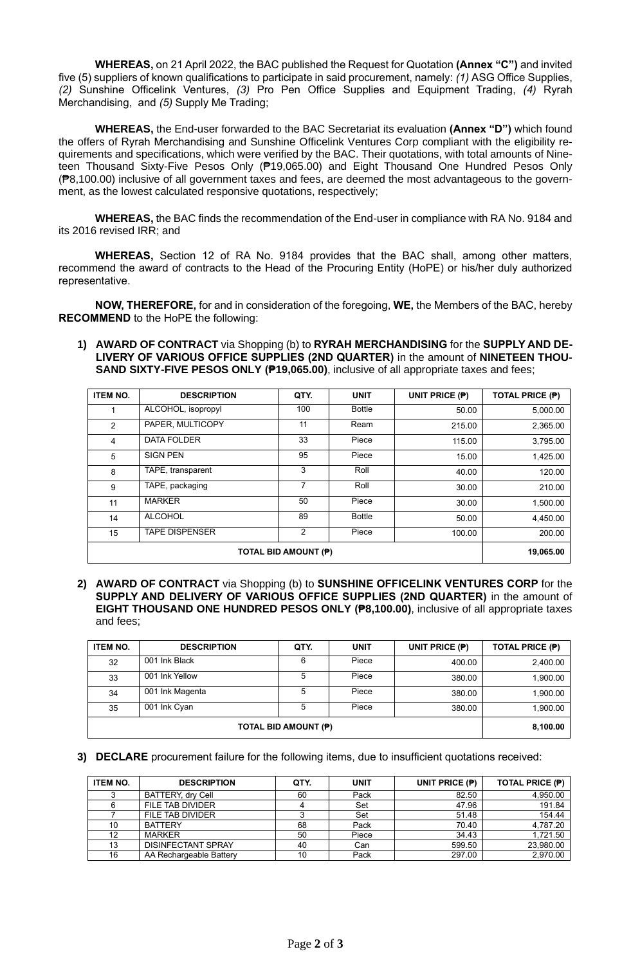**WHEREAS,** on 21 April 2022, the BAC published the Request for Quotation **(Annex "C")** and invited five (5) suppliers of known qualifications to participate in said procurement, namely: *(1)* ASG Office Supplies, *(2)* Sunshine Officelink Ventures, *(3)* Pro Pen Office Supplies and Equipment Trading, *(4)* Ryrah Merchandising, and *(5)* Supply Me Trading;

**WHEREAS,** the End-user forwarded to the BAC Secretariat its evaluation **(Annex "D")** which found the offers of Ryrah Merchandising and Sunshine Officelink Ventures Corp compliant with the eligibility requirements and specifications, which were verified by the BAC. Their quotations, with total amounts of Nineteen Thousand Sixty-Five Pesos Only (₱19,065.00) and Eight Thousand One Hundred Pesos Only (₱8,100.00) inclusive of all government taxes and fees, are deemed the most advantageous to the government, as the lowest calculated responsive quotations, respectively;

**WHEREAS,** the BAC finds the recommendation of the End-user in compliance with RA No. 9184 and its 2016 revised IRR; and

**WHEREAS,** Section 12 of RA No. 9184 provides that the BAC shall, among other matters, recommend the award of contracts to the Head of the Procuring Entity (HoPE) or his/her duly authorized representative.

**NOW, THEREFORE,** for and in consideration of the foregoing, **WE,** the Members of the BAC, hereby **RECOMMEND** to the HoPE the following:

**1) AWARD OF CONTRACT** via Shopping (b) to **RYRAH MERCHANDISING** for the **SUPPLY AND DE-LIVERY OF VARIOUS OFFICE SUPPLIES (2ND QUARTER)** in the amount of **NINETEEN THOU-SAND SIXTY-FIVE PESOS ONLY (₱19,065.00)**, inclusive of all appropriate taxes and fees;

| <b>ITEM NO.</b>      | <b>DESCRIPTION</b>    | QTY. | <b>UNIT</b>   | UNIT PRICE (P) | <b>TOTAL PRICE (P)</b> |
|----------------------|-----------------------|------|---------------|----------------|------------------------|
|                      | ALCOHOL, isopropyl    | 100  | <b>Bottle</b> | 50.00          | 5,000.00               |
| 2                    | PAPER, MULTICOPY      | 11   | Ream          | 215.00         | 2,365.00               |
| 4                    | <b>DATA FOLDER</b>    | 33   | Piece         | 115.00         | 3,795.00               |
| 5                    | <b>SIGN PEN</b>       | 95   | Piece         | 15.00          | 1,425.00               |
| 8                    | TAPE, transparent     | 3    | Roll          | 40.00          | 120.00                 |
| 9                    | TAPE, packaging       | 7    | Roll          | 30.00          | 210.00                 |
| 11                   | <b>MARKER</b>         | 50   | Piece         | 30.00          | 1,500.00               |
| 14                   | <b>ALCOHOL</b>        | 89   | <b>Bottle</b> | 50.00          | 4,450.00               |
| 15                   | <b>TAPE DISPENSER</b> | 2    | Piece         | 100.00         | 200.00                 |
| TOTAL BID AMOUNT (P) |                       |      |               |                | 19,065.00              |

**2) AWARD OF CONTRACT** via Shopping (b) to **SUNSHINE OFFICELINK VENTURES CORP** for the **SUPPLY AND DELIVERY OF VARIOUS OFFICE SUPPLIES (2ND QUARTER)** in the amount of **EIGHT THOUSAND ONE HUNDRED PESOS ONLY (₱8,100.00)**, inclusive of all appropriate taxes and fees;

| <b>ITEM NO.</b>             | <b>DESCRIPTION</b> | QTY. | <b>UNIT</b> | UNIT PRICE (P) | <b>TOTAL PRICE (P)</b> |
|-----------------------------|--------------------|------|-------------|----------------|------------------------|
| 32                          | 001 Ink Black      | 6    | Piece       | 400.00         | 2,400.00               |
| 33                          | 001 Ink Yellow     | 5    | Piece       | 380.00         | 1,900.00               |
| 34                          | 001 Ink Magenta    |      | Piece       | 380.00         | 1,900.00               |
| 35                          | 001 Ink Cyan       |      | Piece       | 380.00         | 1,900.00               |
| <b>TOTAL BID AMOUNT (P)</b> |                    |      |             |                | 8,100.00               |

## **3) DECLARE** procurement failure for the following items, due to insufficient quotations received:

| <b>ITEM NO.</b> | <b>DESCRIPTION</b>        | QTY. | <b>UNIT</b> | UNIT PRICE (P) | <b>TOTAL PRICE (P)</b> |
|-----------------|---------------------------|------|-------------|----------------|------------------------|
|                 | BATTERY, dry Cell         | 60   | Pack        | 82.50          | 4,950.00               |
|                 | FILE TAB DIVIDER          |      | Set         | 47.96          | 191.84                 |
|                 | FILE TAB DIVIDER          |      | Set         | 51.48          | 154.44                 |
| 10              | <b>BATTERY</b>            | 68   | Pack        | 70.40          | 4,787.20               |
| 12              | <b>MARKER</b>             | 50   | Piece       | 34.43          | 1,721.50               |
| 13              | <b>DISINFECTANT SPRAY</b> | 40   | Can         | 599.50         | 23,980.00              |
| 16              | AA Rechargeable Battery   | 10   | Pack        | 297.00         | 2,970.00               |